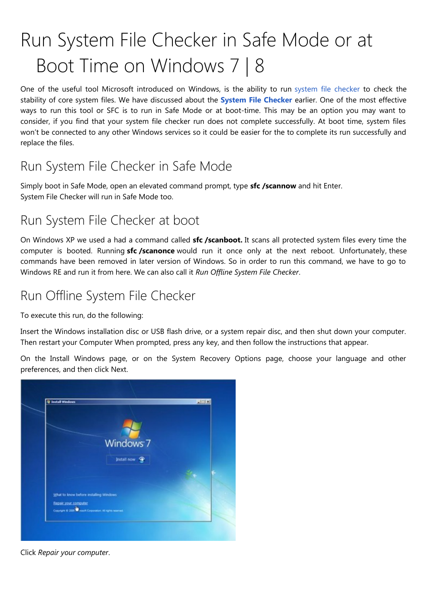# Run System File Checker in Safe Mode or at Boot Time on Windows 7 | 8

One of the useful tool Microsoft introduced on Windows, is the ability to run [system file checker](http://www.thewindowsclub.com/how-to-run-system-file-checker-analyze-its-logs-in-windows-7-vista) to check the stability of core system files. We have discussed about the **[System File Checker](http://www.thewindowsclub.com/how-to-run-system-file-checker-analyze-its-logs-in-windows-7-vista)** earlier. One of the most effective ways to run this tool or SFC is to run in Safe Mode or at boot-time. This may be an option you may want to consider, if you find that your system file checker run does not complete successfully. At boot time, system files won't be connected to any other Windows services so it could be easier for the to complete its run successfully and replace the files.

## Run System File Checker in Safe Mode

Simply boot in Safe Mode, open an elevated command prompt, type **sfc /scannow** and hit Enter. System File Checker will run in Safe Mode too.

#### Run System File Checker at boot

On Windows XP we used a had a command called **sfc /scanboot.** It scans all protected system files every time the computer is booted. Running **sfc /scanonce** would run it once only at the next reboot. Unfortunately, these commands have been removed in later version of Windows. So in order to run this command, we have to go to Windows RE and run it from here. We can also call it *Run Offline System File Checker*.

### Run Offline System File Checker

To execute this run, do the following:

Insert the Windows installation disc or USB flash drive, or a system repair disc, and then shut down your computer. Then restart your Computer When prompted, press any key, and then follow the instructions that appear.

On the Install Windows page, or on the System Recovery Options page, choose your language and other preferences, and then click Next.



Click *Repair your computer*.